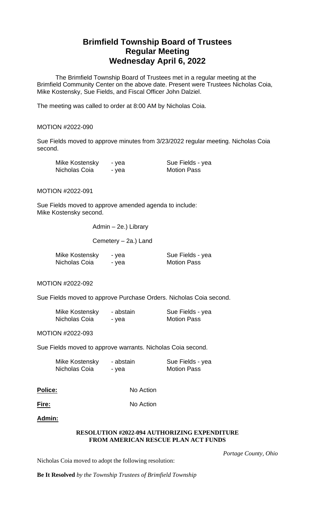# **Brimfield Township Board of Trustees Regular Meeting Wednesday April 6, 2022**

The Brimfield Township Board of Trustees met in a regular meeting at the Brimfield Community Center on the above date. Present were Trustees Nicholas Coia, Mike Kostensky, Sue Fields, and Fiscal Officer John Dalziel.

The meeting was called to order at 8:00 AM by Nicholas Coia.

## MOTION #2022-090

Sue Fields moved to approve minutes from 3/23/2022 regular meeting. Nicholas Coia second.

| Mike Kostensky | - yea | Sue Fields - yea   |
|----------------|-------|--------------------|
| Nicholas Coia  | - yea | <b>Motion Pass</b> |

MOTION #2022-091

Sue Fields moved to approve amended agenda to include: Mike Kostensky second.

Admin – 2e.) Library

Cemetery – 2a.) Land

| Mike Kostensky | - yea | Sue Fields - yea   |
|----------------|-------|--------------------|
| Nicholas Coia  | - yea | <b>Motion Pass</b> |

MOTION #2022-092

Sue Fields moved to approve Purchase Orders. Nicholas Coia second.

| Mike Kostensky | - abstain | Sue Fields - yea   |
|----------------|-----------|--------------------|
| Nicholas Coia  | - yea     | <b>Motion Pass</b> |

MOTION #2022-093

Sue Fields moved to approve warrants. Nicholas Coia second.

| Mike Kostensky | - abstain | Sue Fields - yea   |
|----------------|-----------|--------------------|
| Nicholas Coia  | - yea     | <b>Motion Pass</b> |

| <b>Police:</b> | No Action |
|----------------|-----------|
|                |           |

**Fire:** No Action

**Admin:**

## **RESOLUTION #2022-094 AUTHORIZING EXPENDITURE FROM AMERICAN RESCUE PLAN ACT FUNDS**

 *Portage County, Ohio*

Nicholas Coia moved to adopt the following resolution:

**Be It Resolved** *by the Township Trustees of Brimfield Township*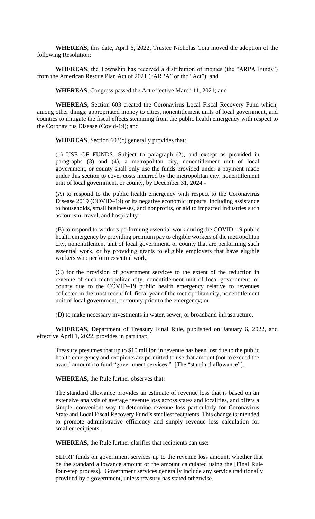**WHEREAS**, this date, April 6, 2022, Trustee Nicholas Coia moved the adoption of the following Resolution:

**WHEREAS**, the Township has received a distribution of monies (the "ARPA Funds") from the American Rescue Plan Act of 2021 ("ARPA" or the "Act"); and

**WHEREAS**, Congress passed the Act effective March 11, 2021; and

**WHEREAS**, Section 603 created the Coronavirus Local Fiscal Recovery Fund which, among other things, appropriated money to cities, nonentitlement units of local government, and counties to mitigate the fiscal effects stemming from the public health emergency with respect to the Coronavirus Disease (Covid-19); and

**WHEREAS**, Section 603(c) generally provides that:

(1) USE OF FUNDS. Subject to paragraph (2), and except as provided in paragraphs (3) and (4), a metropolitan city, nonentitlement unit of local government, or county shall only use the funds provided under a payment made under this section to cover costs incurred by the metropolitan city, nonentitlement unit of local government, or county, by December 31, 2024 -

(A) to respond to the public health emergency with respect to the Coronavirus Disease 2019 (COVID–19) or its negative economic impacts, including assistance to households, small businesses, and nonprofits, or aid to impacted industries such as tourism, travel, and hospitality;

(B) to respond to workers performing essential work during the COVID–19 public health emergency by providing premium pay to eligible workers of the metropolitan city, nonentitlement unit of local government, or county that are performing such essential work, or by providing grants to eligible employers that have eligible workers who perform essential work;

(C) for the provision of government services to the extent of the reduction in revenue of such metropolitan city, nonentitlement unit of local government, or county due to the COVID–19 public health emergency relative to revenues collected in the most recent full fiscal year of the metropolitan city, nonentitlement unit of local government, or county prior to the emergency; or

(D) to make necessary investments in water, sewer, or broadband infrastructure.

**WHEREAS**, Department of Treasury Final Rule, published on January 6, 2022, and effective April 1, 2022, provides in part that:

Treasury presumes that up to \$10 million in revenue has been lost due to the public health emergency and recipients are permitted to use that amount (not to exceed the award amount) to fund "government services." [The "standard allowance"].

**WHEREAS**, the Rule further observes that:

The standard allowance provides an estimate of revenue loss that is based on an extensive analysis of average revenue loss across states and localities, and offers a simple, convenient way to determine revenue loss particularly for Coronavirus State and Local Fiscal Recovery Fund's smallest recipients. This change is intended to promote administrative efficiency and simply revenue loss calculation for smaller recipients.

**WHEREAS**, the Rule further clarifies that recipients can use:

SLFRF funds on government services up to the revenue loss amount, whether that be the standard allowance amount or the amount calculated using the [Final Rule four-step process]. Government services generally include any service traditionally provided by a government, unless treasury has stated otherwise.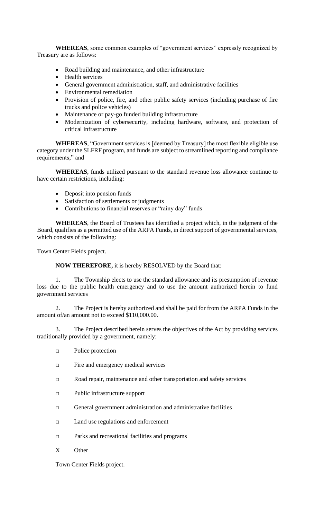**WHEREAS**, some common examples of "government services" expressly recognized by Treasury are as follows:

- Road building and maintenance, and other infrastructure
- Health services
- General government administration, staff, and administrative facilities
- Environmental remediation
- Provision of police, fire, and other public safety services (including purchase of fire trucks and police vehicles)
- Maintenance or pay-go funded building infrastructure
- Modernization of cybersecurity, including hardware, software, and protection of critical infrastructure

**WHEREAS**, "Government services is [deemed by Treasury] the most flexible eligible use category under the SLFRF program, and funds are subject to streamlined reporting and compliance requirements;" and

**WHEREAS**, funds utilized pursuant to the standard revenue loss allowance continue to have certain restrictions, including:

- Deposit into pension funds
- Satisfaction of settlements or judgments
- Contributions to financial reserves or "rainy day" funds

**WHEREAS**, the Board of Trustees has identified a project which, in the judgment of the Board, qualifies as a permitted use of the ARPA Funds, in direct support of governmental services, which consists of the following:

Town Center Fields project.

**NOW THEREFORE,** it is hereby RESOLVED by the Board that:

1. The Township elects to use the standard allowance and its presumption of revenue loss due to the public health emergency and to use the amount authorized herein to fund government services

2. The Project is hereby authorized and shall be paid for from the ARPA Funds in the amount of/an amount not to exceed \$110,000.00.

3. The Project described herein serves the objectives of the Act by providing services traditionally provided by a government, namely:

- □ Police protection
- □ Fire and emergency medical services
- □ Road repair, maintenance and other transportation and safety services
- □ Public infrastructure support
- □ General government administration and administrative facilities
- □ Land use regulations and enforcement
- □ Parks and recreational facilities and programs
- X Other

Town Center Fields project.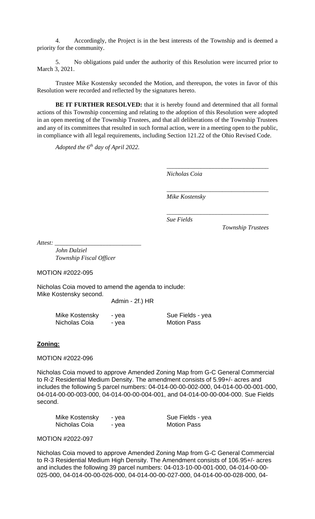4. Accordingly, the Project is in the best interests of the Township and is deemed a priority for the community.

5. No obligations paid under the authority of this Resolution were incurred prior to March 3, 2021.

Trustee Mike Kostensky seconded the Motion, and thereupon, the votes in favor of this Resolution were recorded and reflected by the signatures hereto.

**BE IT FURTHER RESOLVED:** that it is hereby found and determined that all formal actions of this Township concerning and relating to the adoption of this Resolution were adopted in an open meeting of the Township Trustees, and that all deliberations of the Township Trustees and any of its committees that resulted in such formal action, were in a meeting open to the public, in compliance with all legal requirements, including Section 121.22 of the Ohio Revised Code.

*Adopted the 6 th day of April 2022.*

*Nicholas Coia*

*\_\_\_\_\_\_\_\_\_\_\_\_\_\_\_\_\_\_\_\_\_\_\_\_\_\_\_\_\_\_\_\_\_*

*\_\_\_\_\_\_\_\_\_\_\_\_\_\_\_\_\_\_\_\_\_\_\_\_\_\_\_\_\_\_\_\_\_*

*\_\_\_\_\_\_\_\_\_\_\_\_\_\_\_\_\_\_\_\_\_\_\_\_\_\_\_\_\_\_\_\_\_*

*Mike Kostensky*

*Sue Fields* 

*Township Trustees*

*Attest: \_\_\_\_\_\_\_\_\_\_\_\_\_\_\_\_\_\_\_\_\_\_\_\_\_\_\_\_*

*John Dalziel Township Fiscal Officer*

MOTION #2022-095

Nicholas Coia moved to amend the agenda to include: Mike Kostensky second.

Admin - 2f.) HR

| Mike Kostensky | - yea | Sue Fields - yea   |
|----------------|-------|--------------------|
| Nicholas Coia  | - vea | <b>Motion Pass</b> |

# **Zoning:**

MOTION #2022-096

Nicholas Coia moved to approve Amended Zoning Map from G-C General Commercial to R-2 Residential Medium Density. The amendment consists of 5.99+/- acres and includes the following 5 parcel numbers: 04-014-00-00-002-000, 04-014-00-00-001-000, 04-014-00-00-003-000, 04-014-00-00-004-001, and 04-014-00-00-004-000. Sue Fields second.

| Mike Kostensky | - yea | Sue Fields - yea   |
|----------------|-------|--------------------|
| Nicholas Coia  | - yea | <b>Motion Pass</b> |

#### MOTION #2022-097

Nicholas Coia moved to approve Amended Zoning Map from G-C General Commercial to R-3 Residential Medium High Density. The Amendment consists of 106.95+/- acres and includes the following 39 parcel numbers: 04-013-10-00-001-000, 04-014-00-00- 025-000, 04-014-00-00-026-000, 04-014-00-00-027-000, 04-014-00-00-028-000, 04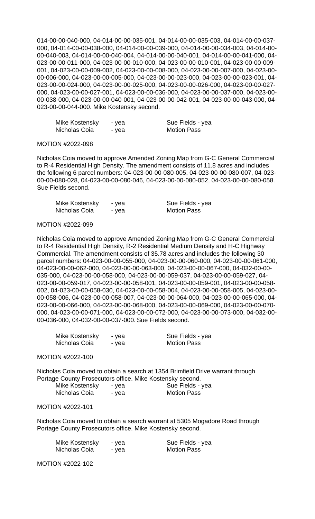014-00-00-040-000, 04-014-00-00-035-001, 04-014-00-00-035-003, 04-014-00-00-037- 000, 04-014-00-00-038-000, 04-014-00-00-039-000, 04-014-00-00-034-003, 04-014-00- 00-040-003, 04-014-00-00-040-004, 04-014-00-00-040-001, 04-014-00-00-041-000, 04- 023-00-00-011-000, 04-023-00-00-010-000, 04-023-00-00-010-001, 04-023-00-00-009- 001, 04-023-00-00-009-002, 04-023-00-00-008-000, 04-023-00-00-007-000, 04-023-00- 00-006-000, 04-023-00-00-005-000, 04-023-00-00-023-000, 04-023-00-00-023-001, 04- 023-00-00-024-000, 04-023-00-00-025-000, 04-023-00-00-026-000, 04-023-00-00-027- 000, 04-023-00-00-027-001, 04-023-00-00-036-000, 04-023-00-00-037-000, 04-023-00- 00-038-000, 04-023-00-00-040-001, 04-023-00-00-042-001, 04-023-00-00-043-000, 04- 023-00-00-044-000. Mike Kostensky second.

| Mike Kostensky | - yea | Sue Fields - yea   |
|----------------|-------|--------------------|
| Nicholas Coia  | - yea | <b>Motion Pass</b> |

#### MOTION #2022-098

Nicholas Coia moved to approve Amended Zoning Map from G-C General Commercial to R-4 Residential High Density. The amendment consists of 11.8 acres and includes the following 6 parcel numbers: 04-023-00-00-080-005, 04-023-00-00-080-007, 04-023- 00-00-080-028, 04-023-00-00-080-046, 04-023-00-00-080-052, 04-023-00-00-080-058. Sue Fields second.

| Mike Kostensky | - yea | Sue Fields - yea   |
|----------------|-------|--------------------|
| Nicholas Coia  | - yea | <b>Motion Pass</b> |

## MOTION #2022-099

Nicholas Coia moved to approve Amended Zoning Map from G-C General Commercial to R-4 Residential High Density, R-2 Residential Medium Density and H-C Highway Commercial. The amendment consists of 35.78 acres and includes the following 30 parcel numbers: 04-023-00-00-055-000, 04-023-00-00-060-000, 04-023-00-00-061-000, 04-023-00-00-062-000, 04-023-00-00-063-000, 04-023-00-00-067-000, 04-032-00-00- 035-000, 04-023-00-00-058-000, 04-023-00-00-059-037, 04-023-00-00-059-027, 04- 023-00-00-059-017, 04-023-00-00-058-001, 04-023-00-00-059-001, 04-023-00-00-058- 002, 04-023-00-00-058-030, 04-023-00-00-058-004, 04-023-00-00-058-005, 04-023-00- 00-058-006, 04-023-00-00-058-007, 04-023-00-00-064-000, 04-023-00-00-065-000, 04- 023-00-00-066-000, 04-023-00-00-068-000, 04-023-00-00-069-000, 04-023-00-00-070- 000, 04-023-00-00-071-000, 04-023-00-00-072-000, 04-023-00-00-073-000, 04-032-00- 00-036-000, 04-032-00-00-037-000. Sue Fields second.

| Mike Kostensky | - yea | Sue Fields - yea   |
|----------------|-------|--------------------|
| Nicholas Coia  | - yea | <b>Motion Pass</b> |

#### MOTION #2022-100

Nicholas Coia moved to obtain a search at 1354 Brimfield Drive warrant through Portage County Prosecutors office. Mike Kostensky second.

| Mike Kostensky | - yea | Sue Fields - yea   |
|----------------|-------|--------------------|
| Nicholas Coia  | - yea | <b>Motion Pass</b> |

#### MOTION #2022-101

Nicholas Coia moved to obtain a search warrant at 5305 Mogadore Road through Portage County Prosecutors office. Mike Kostensky second.

| Mike Kostensky | - vea | Sue Fields - yea   |
|----------------|-------|--------------------|
| Nicholas Coia  | - vea | <b>Motion Pass</b> |

MOTION #2022-102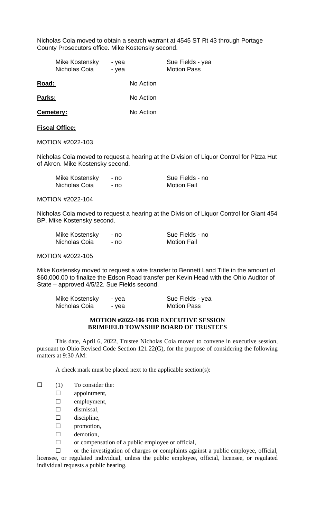Nicholas Coia moved to obtain a search warrant at 4545 ST Rt 43 through Portage County Prosecutors office. Mike Kostensky second.

|                  | Mike Kostensky<br>Nicholas Coia | - yea<br>- yea |           | Sue Fields - yea<br><b>Motion Pass</b> |
|------------------|---------------------------------|----------------|-----------|----------------------------------------|
| Road:            |                                 |                | No Action |                                        |
| Parks:           |                                 |                | No Action |                                        |
| <b>Cemetery:</b> |                                 |                | No Action |                                        |
|                  |                                 |                |           |                                        |

# **Fiscal Office:**

MOTION #2022-103

Nicholas Coia moved to request a hearing at the Division of Liquor Control for Pizza Hut of Akron. Mike Kostensky second.

| Mike Kostensky | - no | Sue Fields - no    |
|----------------|------|--------------------|
| Nicholas Coia  | - no | <b>Motion Fail</b> |

MOTION #2022-104

Nicholas Coia moved to request a hearing at the Division of Liquor Control for Giant 454 BP. Mike Kostensky second.

| Mike Kostensky | - no | Sue Fields - no    |
|----------------|------|--------------------|
| Nicholas Coia  | - no | <b>Motion Fail</b> |

MOTION #2022-105

Mike Kostensky moved to request a wire transfer to Bennett Land Title in the amount of \$60,000.00 to finalize the Edson Road transfer per Kevin Head with the Ohio Auditor of State – approved 4/5/22. Sue Fields second.

| Mike Kostensky | - yea | Sue Fields - yea   |
|----------------|-------|--------------------|
| Nicholas Coia  | - yea | <b>Motion Pass</b> |

## **MOTION #2022-106 FOR EXECUTIVE SESSION BRIMFIELD TOWNSHIP BOARD OF TRUSTEES**

This date, April 6, 2022, Trustee Nicholas Coia moved to convene in executive session, pursuant to Ohio Revised Code Section 121.22(G), for the purpose of considering the following matters at 9:30 AM:

A check mark must be placed next to the applicable section(s):

- $\Box$  (1) To consider the:
	- ☐ appointment,
	- ☐ employment,
	- □ dismissal,
	- $\square$  discipline,
	- ☐ promotion,
	- □ demotion,
	- $\Box$  or compensation of a public employee or official,

☐ or the investigation of charges or complaints against a public employee, official, licensee, or regulated individual, unless the public employee, official, licensee, or regulated individual requests a public hearing.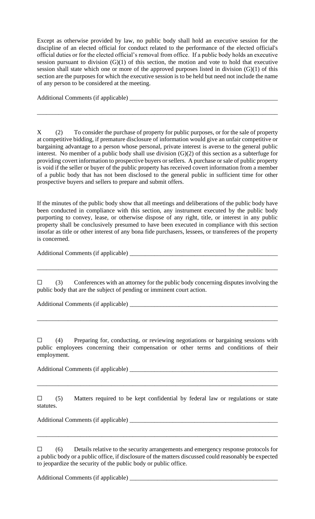Except as otherwise provided by law, no public body shall hold an executive session for the discipline of an elected official for conduct related to the performance of the elected official's official duties or for the elected official's removal from office. If a public body holds an executive session pursuant to division  $(G)(1)$  of this section, the motion and vote to hold that executive session shall state which one or more of the approved purposes listed in division (G)(1) of this section are the purposes for which the executive session is to be held but need not include the name of any person to be considered at the meeting.

Additional Comments (if applicable) \_\_\_\_\_\_\_\_\_\_\_\_\_\_\_\_\_\_\_\_\_\_\_\_\_\_\_\_\_\_\_\_\_\_\_\_\_\_\_\_\_\_\_\_\_\_\_\_

X (2) To consider the purchase of property for public purposes, or for the sale of property at competitive bidding, if premature disclosure of information would give an unfair competitive or bargaining advantage to a person whose personal, private interest is averse to the general public interest. No member of a public body shall use division (G)(2) of this section as a subterfuge for providing covert information to prospective buyers or sellers. A purchase or sale of public property is void if the seller or buyer of the public property has received covert information from a member of a public body that has not been disclosed to the general public in sufficient time for other prospective buyers and sellers to prepare and submit offers.

\_\_\_\_\_\_\_\_\_\_\_\_\_\_\_\_\_\_\_\_\_\_\_\_\_\_\_\_\_\_\_\_\_\_\_\_\_\_\_\_\_\_\_\_\_\_\_\_\_\_\_\_\_\_\_\_\_\_\_\_\_\_\_\_\_\_\_\_\_\_\_\_\_\_\_\_\_\_

If the minutes of the public body show that all meetings and deliberations of the public body have been conducted in compliance with this section, any instrument executed by the public body purporting to convey, lease, or otherwise dispose of any right, title, or interest in any public property shall be conclusively presumed to have been executed in compliance with this section insofar as title or other interest of any bona fide purchasers, lessees, or transferees of the property is concerned.

Additional Comments (if applicable) \_\_\_\_\_\_\_\_\_\_\_\_\_\_\_\_\_\_\_\_\_\_\_\_\_\_\_\_\_\_\_\_\_\_\_\_\_\_\_\_\_\_\_\_\_\_\_\_

 $\Box$  (3) Conferences with an attorney for the public body concerning disputes involving the public body that are the subject of pending or imminent court action.

\_\_\_\_\_\_\_\_\_\_\_\_\_\_\_\_\_\_\_\_\_\_\_\_\_\_\_\_\_\_\_\_\_\_\_\_\_\_\_\_\_\_\_\_\_\_\_\_\_\_\_\_\_\_\_\_\_\_\_\_\_\_\_\_\_\_\_\_\_\_\_\_\_\_\_\_\_\_

Additional Comments (if applicable) \_\_\_\_\_\_\_\_\_\_\_\_\_\_\_\_\_\_\_\_\_\_\_\_\_\_\_\_\_\_\_\_\_\_\_\_\_\_\_\_\_\_\_\_\_\_\_\_

 $\Box$  (4) Preparing for, conducting, or reviewing negotiations or bargaining sessions with public employees concerning their compensation or other terms and conditions of their employment.

\_\_\_\_\_\_\_\_\_\_\_\_\_\_\_\_\_\_\_\_\_\_\_\_\_\_\_\_\_\_\_\_\_\_\_\_\_\_\_\_\_\_\_\_\_\_\_\_\_\_\_\_\_\_\_\_\_\_\_\_\_\_\_\_\_\_\_\_\_\_\_\_\_\_\_\_\_\_

Additional Comments (if applicable) \_\_\_\_\_\_\_\_\_\_\_\_\_\_\_\_\_\_\_\_\_\_\_\_\_\_\_\_\_\_\_\_\_\_\_\_\_\_\_\_\_\_\_\_\_\_\_\_

 $\square$  (5) Matters required to be kept confidential by federal law or regulations or state statutes.

\_\_\_\_\_\_\_\_\_\_\_\_\_\_\_\_\_\_\_\_\_\_\_\_\_\_\_\_\_\_\_\_\_\_\_\_\_\_\_\_\_\_\_\_\_\_\_\_\_\_\_\_\_\_\_\_\_\_\_\_\_\_\_\_\_\_\_\_\_\_\_\_\_\_\_\_\_\_

Additional Comments (if applicable) \_\_\_\_\_\_\_\_\_\_\_\_\_\_\_\_\_\_\_\_\_\_\_\_\_\_\_\_\_\_\_\_\_\_\_\_\_\_\_\_\_\_\_\_\_\_\_\_

☐ (6) Details relative to the security arrangements and emergency response protocols for a public body or a public office, if disclosure of the matters discussed could reasonably be expected to jeopardize the security of the public body or public office.

\_\_\_\_\_\_\_\_\_\_\_\_\_\_\_\_\_\_\_\_\_\_\_\_\_\_\_\_\_\_\_\_\_\_\_\_\_\_\_\_\_\_\_\_\_\_\_\_\_\_\_\_\_\_\_\_\_\_\_\_\_\_\_\_\_\_\_\_\_\_\_\_\_\_\_\_\_\_

Additional Comments (if applicable)